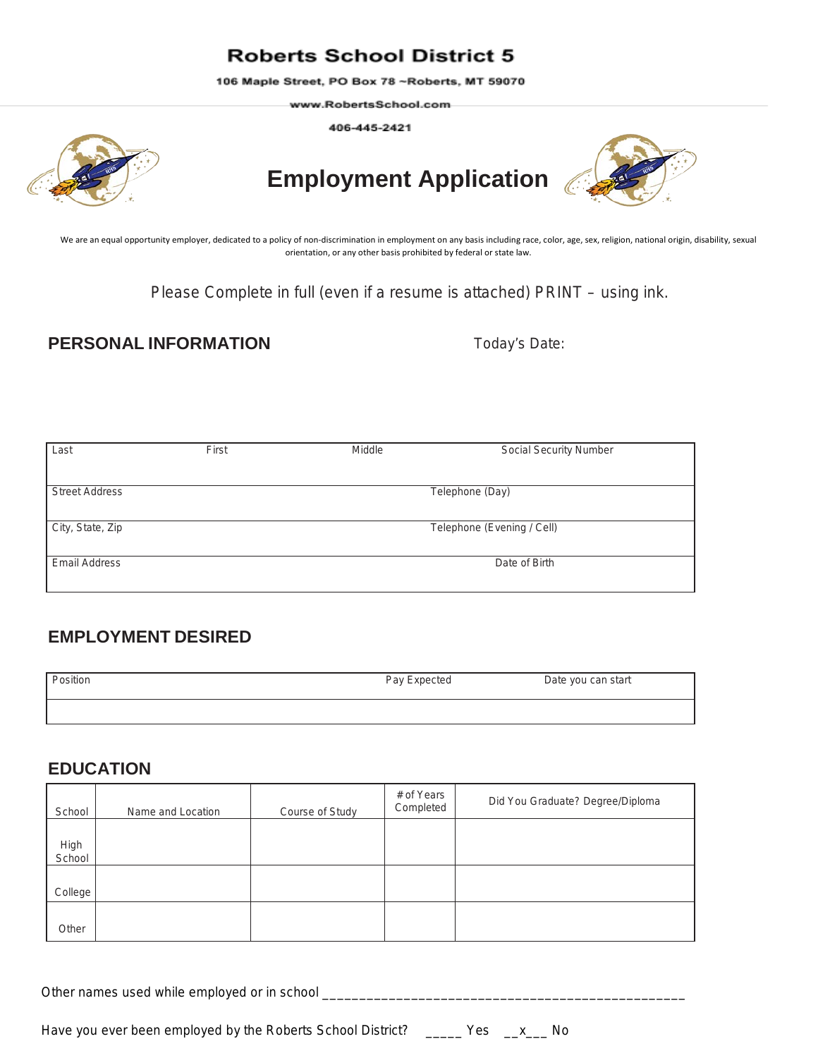## **Roberts School District 5**

106 Maple Street, PO Box 78 ~Roberts, MT 59070

www.RobertsSchool.com-

406-445-2421



# **Employment Application**



We are an equal opportunity employer, dedicated to a policy of non-discrimination in employment on any basis including race, color, age, sex, religion, national origin, disability, sexual orientation, or any other basis prohibited by federal or state law.

Please Complete in full (even if a resume is attached) PRINT – using ink.

### **PERSONAL INFORMATION Today's Date:**

| Last                  | First | Middle          | <b>Social Security Number</b> |  |
|-----------------------|-------|-----------------|-------------------------------|--|
|                       |       |                 |                               |  |
| <b>Street Address</b> |       | Telephone (Day) |                               |  |
|                       |       |                 |                               |  |
| City, State, Zip      |       |                 | Telephone (Evening / Cell)    |  |
|                       |       |                 |                               |  |
| <b>Email Address</b>  |       |                 | Date of Birth                 |  |
|                       |       |                 |                               |  |

## **EMPLOYMENT DESIRED**

| Position | Pay Expected | Date you can start |
|----------|--------------|--------------------|
|          |              |                    |

#### **EDUCATION**

| School         | Name and Location | Course of Study | # of Years<br>Completed | Did You Graduate? Degree/Diploma |
|----------------|-------------------|-----------------|-------------------------|----------------------------------|
| High<br>School |                   |                 |                         |                                  |
| College        |                   |                 |                         |                                  |
| Other          |                   |                 |                         |                                  |

Other names used while employed or in school \_\_\_\_\_\_\_\_\_\_\_\_\_\_\_\_\_\_\_\_\_\_\_\_\_\_\_\_\_\_\_\_\_\_\_\_\_\_\_\_\_\_\_\_\_\_\_\_\_

Have you ever been employed by the Roberts School District? \_\_\_\_\_ Yes \_\_x \_\_ No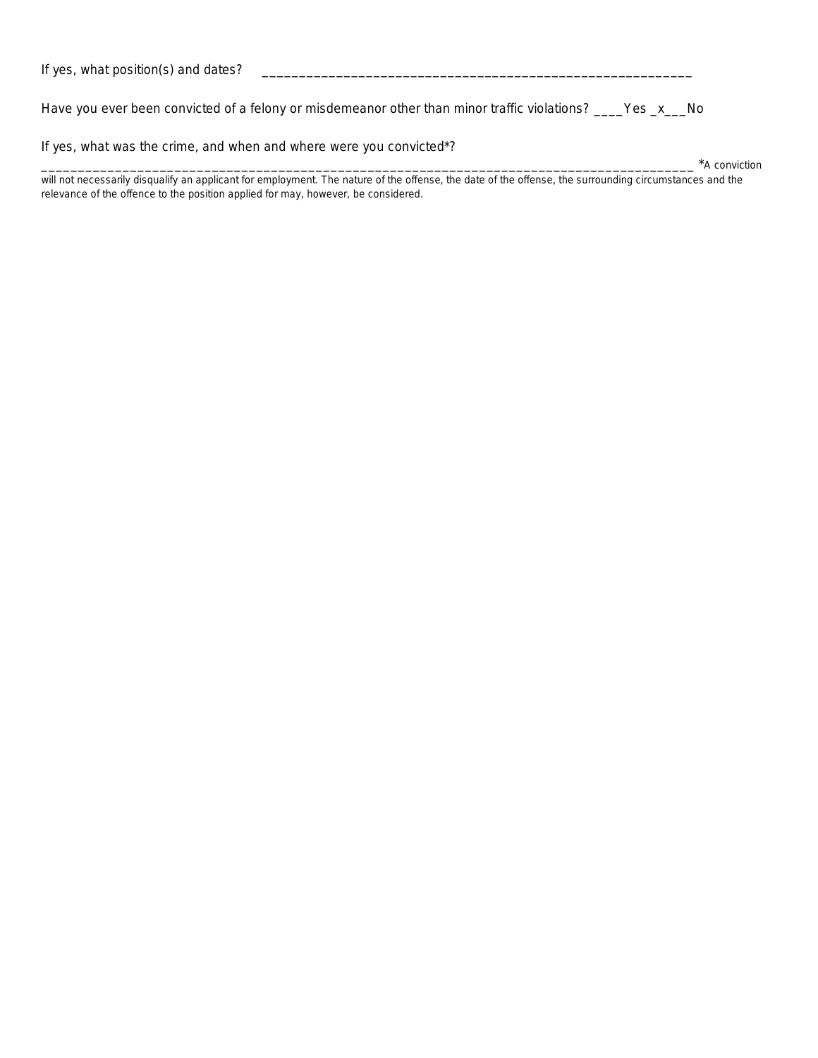| If yes, what position(s) and dates? |  |
|-------------------------------------|--|
|                                     |  |

Have you ever been convicted of a felony or misdemeanor other than minor traffic violations? \_\_\_\_Yes \_x\_\_\_No

If yes, what was the crime, and when and where were you convicted\*?

\_\_\_\_\_\_\_\_\_\_\_\_\_\_\_\_\_\_\_\_\_\_\_\_\_\_\_\_\_\_\_\_\_\_\_\_\_\_\_\_\_\_\_\_\_\_\_\_\_\_\_\_\_\_\_\_\_\_\_\_\_\_\_\_\_\_\_\_\_\_\_\_\_\_\_\_\_\_\_\_\_\_\_\_\_\_\_\_ \*A conviction

will not necessarily disqualify an applicant for employment. The nature of the offense, the date of the offense, the surrounding circumstances and the relevance of the offence to the position applied for may, however, be considered.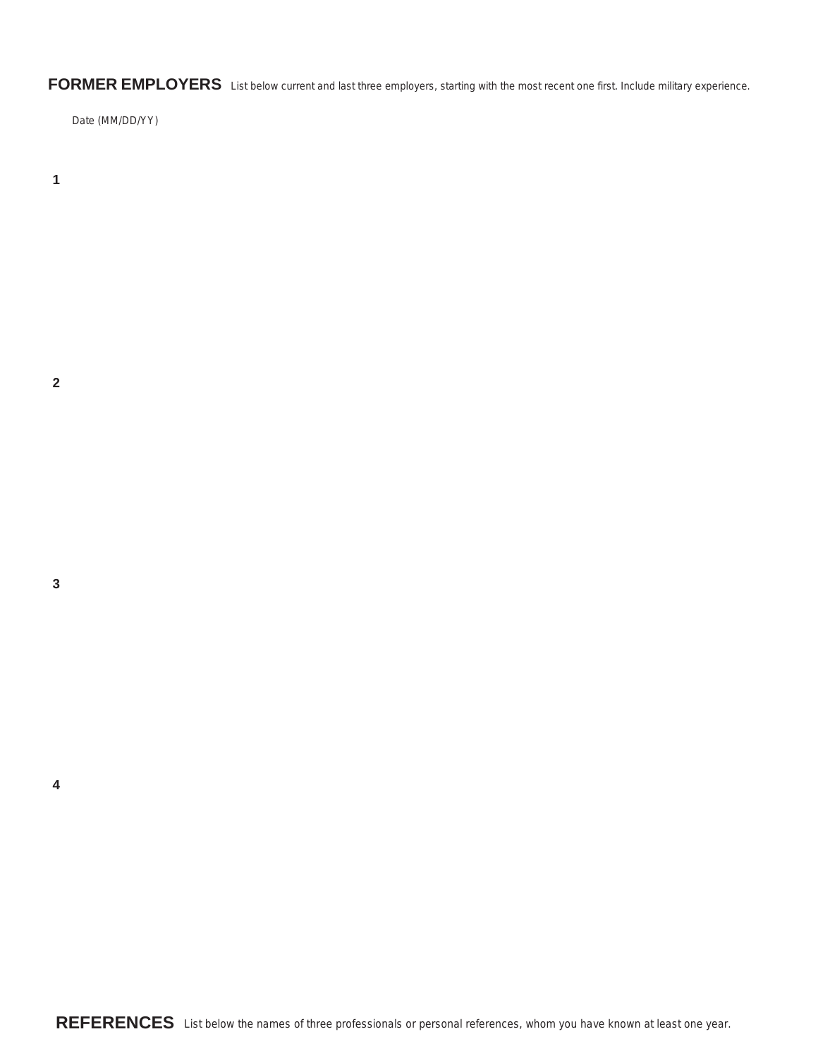**FORMER EMPLOYERS** List below current and last three employers, starting with the most recent one first. Include military experience.

Date (MM/DD/YY)

**1**

**2**

**3**